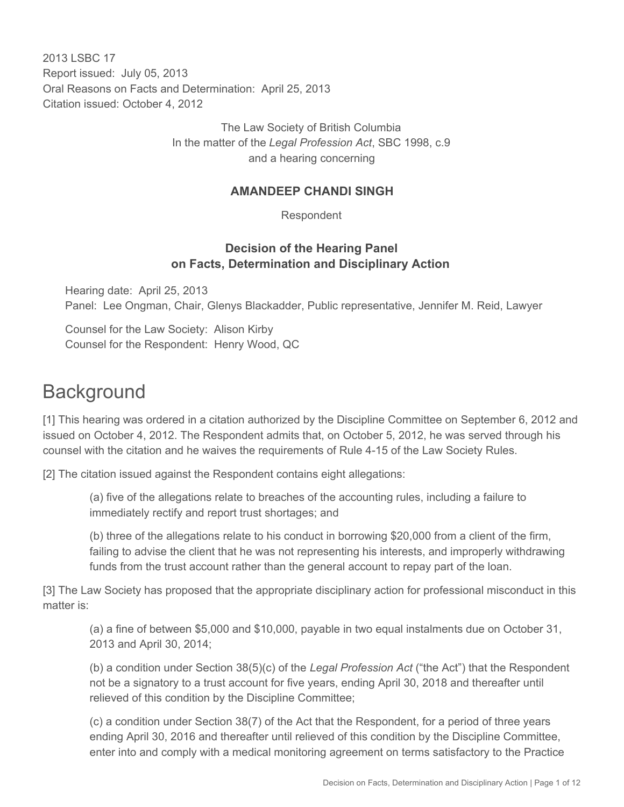2013 LSBC 17 Report issued: July 05, 2013 Oral Reasons on Facts and Determination: April 25, 2013 Citation issued: October 4, 2012

> The Law Society of British Columbia In the matter of the *Legal Profession Act*, SBC 1998, c.9 and a hearing concerning

#### **AMANDEEP CHANDI SINGH**

Respondent

#### **Decision of the Hearing Panel on Facts, Determination and Disciplinary Action**

Hearing date: April 25, 2013 Panel: Lee Ongman, Chair, Glenys Blackadder, Public representative, Jennifer M. Reid, Lawyer

Counsel for the Law Society: Alison Kirby Counsel for the Respondent: Henry Wood, QC

# **Background**

[1] This hearing was ordered in a citation authorized by the Discipline Committee on September 6, 2012 and issued on October 4, 2012. The Respondent admits that, on October 5, 2012, he was served through his counsel with the citation and he waives the requirements of Rule 4-15 of the Law Society Rules.

[2] The citation issued against the Respondent contains eight allegations:

(a) five of the allegations relate to breaches of the accounting rules, including a failure to immediately rectify and report trust shortages; and

(b) three of the allegations relate to his conduct in borrowing \$20,000 from a client of the firm, failing to advise the client that he was not representing his interests, and improperly withdrawing funds from the trust account rather than the general account to repay part of the loan.

[3] The Law Society has proposed that the appropriate disciplinary action for professional misconduct in this matter is:

(a) a fine of between \$5,000 and \$10,000, payable in two equal instalments due on October 31, 2013 and April 30, 2014;

(b) a condition under Section 38(5)(c) of the *Legal Profession Act* ("the Act") that the Respondent not be a signatory to a trust account for five years, ending April 30, 2018 and thereafter until relieved of this condition by the Discipline Committee;

(c) a condition under Section 38(7) of the Act that the Respondent, for a period of three years ending April 30, 2016 and thereafter until relieved of this condition by the Discipline Committee, enter into and comply with a medical monitoring agreement on terms satisfactory to the Practice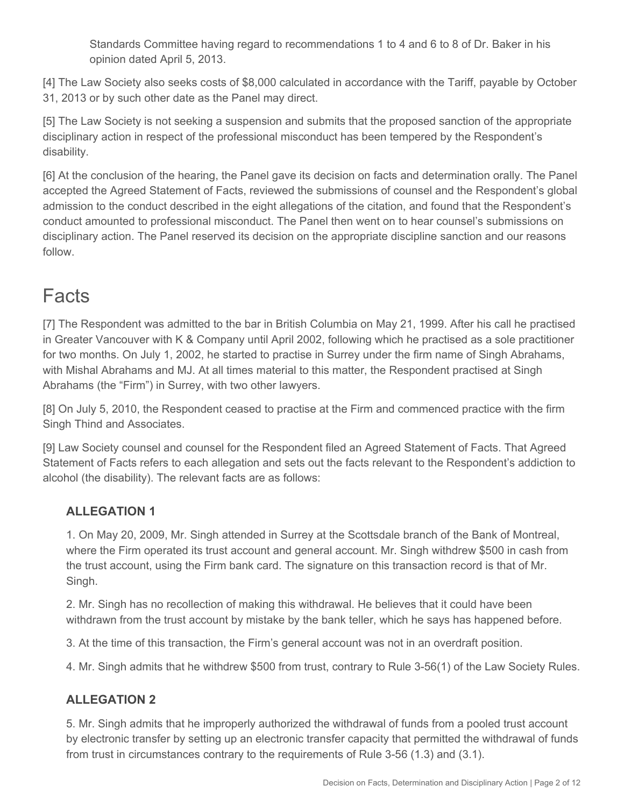Standards Committee having regard to recommendations 1 to 4 and 6 to 8 of Dr. Baker in his opinion dated April 5, 2013.

[4] The Law Society also seeks costs of \$8,000 calculated in accordance with the Tariff, payable by October 31, 2013 or by such other date as the Panel may direct.

[5] The Law Society is not seeking a suspension and submits that the proposed sanction of the appropriate disciplinary action in respect of the professional misconduct has been tempered by the Respondent's disability.

[6] At the conclusion of the hearing, the Panel gave its decision on facts and determination orally. The Panel accepted the Agreed Statement of Facts, reviewed the submissions of counsel and the Respondent's global admission to the conduct described in the eight allegations of the citation, and found that the Respondent's conduct amounted to professional misconduct. The Panel then went on to hear counsel's submissions on disciplinary action. The Panel reserved its decision on the appropriate discipline sanction and our reasons follow.

# **Facts**

[7] The Respondent was admitted to the bar in British Columbia on May 21, 1999. After his call he practised in Greater Vancouver with K & Company until April 2002, following which he practised as a sole practitioner for two months. On July 1, 2002, he started to practise in Surrey under the firm name of Singh Abrahams, with Mishal Abrahams and MJ. At all times material to this matter, the Respondent practised at Singh Abrahams (the "Firm") in Surrey, with two other lawyers.

[8] On July 5, 2010, the Respondent ceased to practise at the Firm and commenced practice with the firm Singh Thind and Associates.

[9] Law Society counsel and counsel for the Respondent filed an Agreed Statement of Facts. That Agreed Statement of Facts refers to each allegation and sets out the facts relevant to the Respondent's addiction to alcohol (the disability). The relevant facts are as follows:

## **ALLEGATION 1**

1. On May 20, 2009, Mr. Singh attended in Surrey at the Scottsdale branch of the Bank of Montreal, where the Firm operated its trust account and general account. Mr. Singh withdrew \$500 in cash from the trust account, using the Firm bank card. The signature on this transaction record is that of Mr. Singh.

2. Mr. Singh has no recollection of making this withdrawal. He believes that it could have been withdrawn from the trust account by mistake by the bank teller, which he says has happened before.

3. At the time of this transaction, the Firm's general account was not in an overdraft position.

4. Mr. Singh admits that he withdrew \$500 from trust, contrary to Rule 3-56(1) of the Law Society Rules.

## **ALLEGATION 2**

5. Mr. Singh admits that he improperly authorized the withdrawal of funds from a pooled trust account by electronic transfer by setting up an electronic transfer capacity that permitted the withdrawal of funds from trust in circumstances contrary to the requirements of Rule 3-56 (1.3) and (3.1).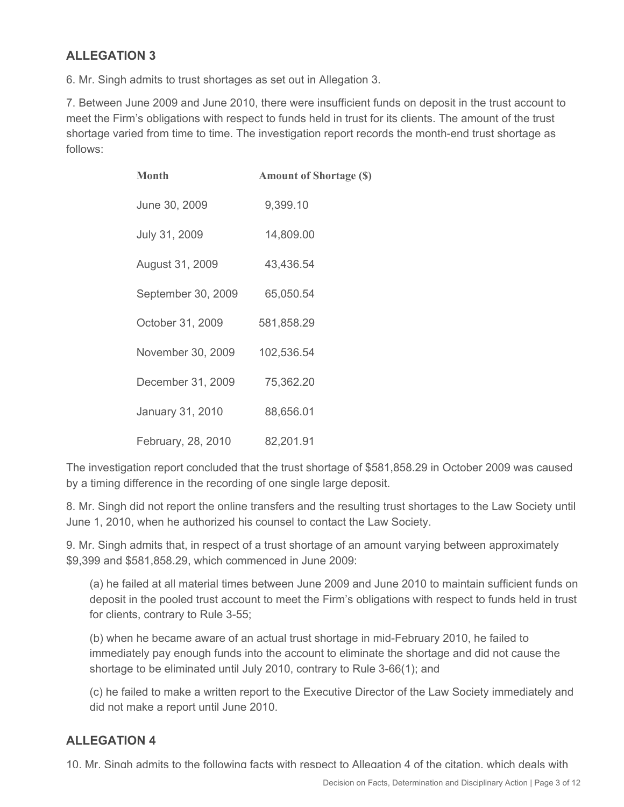## **ALLEGATION 3**

6. Mr. Singh admits to trust shortages as set out in Allegation 3.

7. Between June 2009 and June 2010, there were insufficient funds on deposit in the trust account to meet the Firm's obligations with respect to funds held in trust for its clients. The amount of the trust shortage varied from time to time. The investigation report records the month-end trust shortage as follows:

| <b>Month</b>       | <b>Amount of Shortage (\$)</b> |
|--------------------|--------------------------------|
| June 30, 2009      | 9,399.10                       |
| July 31, 2009      | 14,809.00                      |
| August 31, 2009    | 43,436.54                      |
| September 30, 2009 | 65,050.54                      |
| October 31, 2009   | 581,858.29                     |
| November 30, 2009  | 102,536.54                     |
| December 31, 2009  | 75,362.20                      |
| January 31, 2010   | 88,656.01                      |
| February, 28, 2010 | 82,201.91                      |

The investigation report concluded that the trust shortage of \$581,858.29 in October 2009 was caused by a timing difference in the recording of one single large deposit.

8. Mr. Singh did not report the online transfers and the resulting trust shortages to the Law Society until June 1, 2010, when he authorized his counsel to contact the Law Society.

9. Mr. Singh admits that, in respect of a trust shortage of an amount varying between approximately \$9,399 and \$581,858.29, which commenced in June 2009:

(a) he failed at all material times between June 2009 and June 2010 to maintain sufficient funds on deposit in the pooled trust account to meet the Firm's obligations with respect to funds held in trust for clients, contrary to Rule 3-55;

(b) when he became aware of an actual trust shortage in mid-February 2010, he failed to immediately pay enough funds into the account to eliminate the shortage and did not cause the shortage to be eliminated until July 2010, contrary to Rule 3-66(1); and

(c) he failed to make a written report to the Executive Director of the Law Society immediately and did not make a report until June 2010.

#### **ALLEGATION 4**

10. Mr. Singh admits to the following facts with respect to Allegation 4 of the citation, which deals with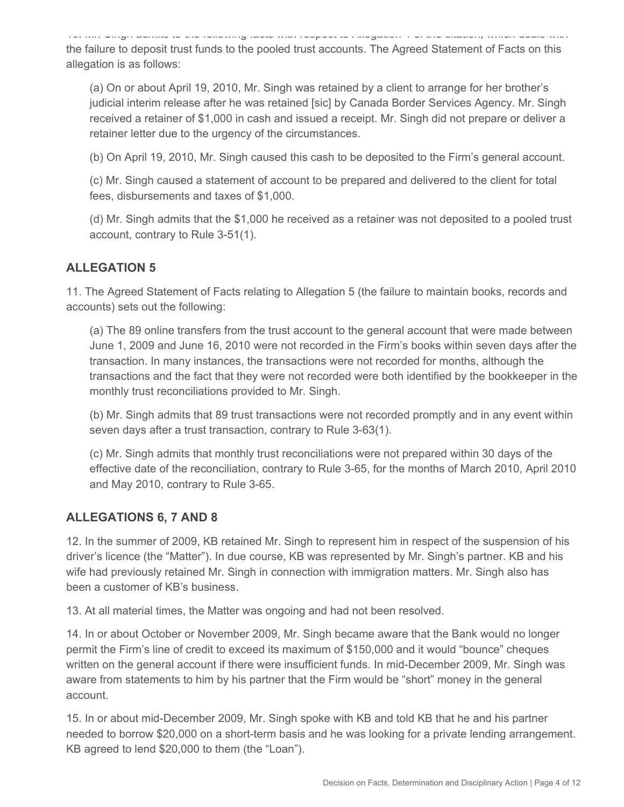10. Mr. Singh admits to the following facts with respect to Allegation 4 of the citation, which deals with the failure to deposit trust funds to the pooled trust accounts. The Agreed Statement of Facts on this allegation is as follows:

(a) On or about April 19, 2010, Mr. Singh was retained by a client to arrange for her brother's judicial interim release after he was retained [sic] by Canada Border Services Agency. Mr. Singh received a retainer of \$1,000 in cash and issued a receipt. Mr. Singh did not prepare or deliver a retainer letter due to the urgency of the circumstances.

(b) On April 19, 2010, Mr. Singh caused this cash to be deposited to the Firm's general account.

(c) Mr. Singh caused a statement of account to be prepared and delivered to the client for total fees, disbursements and taxes of \$1,000.

(d) Mr. Singh admits that the \$1,000 he received as a retainer was not deposited to a pooled trust account, contrary to Rule 3-51(1).

#### **ALLEGATION 5**

11. The Agreed Statement of Facts relating to Allegation 5 (the failure to maintain books, records and accounts) sets out the following:

(a) The 89 online transfers from the trust account to the general account that were made between June 1, 2009 and June 16, 2010 were not recorded in the Firm's books within seven days after the transaction. In many instances, the transactions were not recorded for months, although the transactions and the fact that they were not recorded were both identified by the bookkeeper in the monthly trust reconciliations provided to Mr. Singh.

(b) Mr. Singh admits that 89 trust transactions were not recorded promptly and in any event within seven days after a trust transaction, contrary to Rule 3-63(1).

(c) Mr. Singh admits that monthly trust reconciliations were not prepared within 30 days of the effective date of the reconciliation, contrary to Rule 3-65, for the months of March 2010, April 2010 and May 2010, contrary to Rule 3-65.

#### **ALLEGATIONS 6, 7 AND 8**

12. In the summer of 2009, KB retained Mr. Singh to represent him in respect of the suspension of his driver's licence (the "Matter"). In due course, KB was represented by Mr. Singh's partner. KB and his wife had previously retained Mr. Singh in connection with immigration matters. Mr. Singh also has been a customer of KB's business.

13. At all material times, the Matter was ongoing and had not been resolved.

14. In or about October or November 2009, Mr. Singh became aware that the Bank would no longer permit the Firm's line of credit to exceed its maximum of \$150,000 and it would "bounce" cheques written on the general account if there were insufficient funds. In mid-December 2009, Mr. Singh was aware from statements to him by his partner that the Firm would be "short" money in the general account.

15. In or about mid-December 2009, Mr. Singh spoke with KB and told KB that he and his partner needed to borrow \$20,000 on a short-term basis and he was looking for a private lending arrangement. KB agreed to lend \$20,000 to them (the "Loan").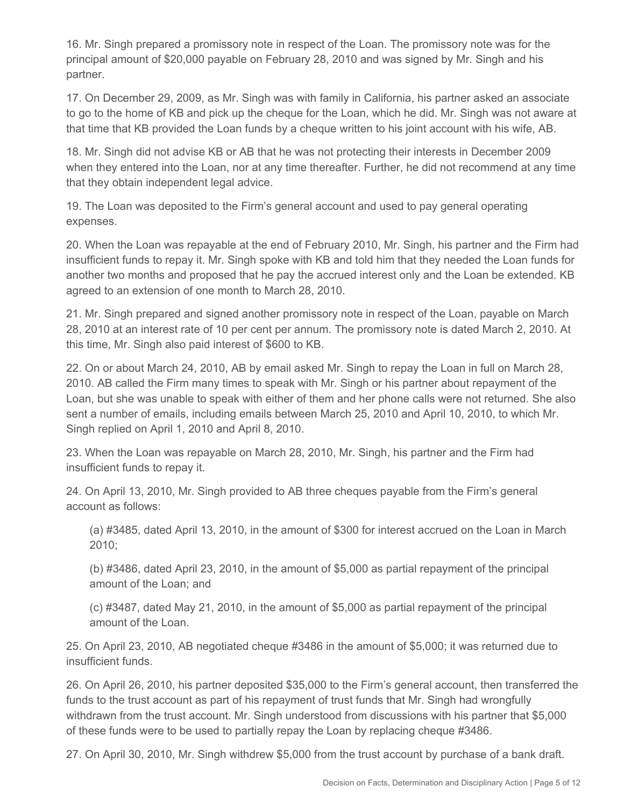16. Mr. Singh prepared a promissory note in respect of the Loan. The promissory note was for the principal amount of \$20,000 payable on February 28, 2010 and was signed by Mr. Singh and his partner.

17. On December 29, 2009, as Mr. Singh was with family in California, his partner asked an associate to go to the home of KB and pick up the cheque for the Loan, which he did. Mr. Singh was not aware at that time that KB provided the Loan funds by a cheque written to his joint account with his wife, AB.

18. Mr. Singh did not advise KB or AB that he was not protecting their interests in December 2009 when they entered into the Loan, nor at any time thereafter. Further, he did not recommend at any time that they obtain independent legal advice.

19. The Loan was deposited to the Firm's general account and used to pay general operating expenses.

20. When the Loan was repayable at the end of February 2010, Mr. Singh, his partner and the Firm had insufficient funds to repay it. Mr. Singh spoke with KB and told him that they needed the Loan funds for another two months and proposed that he pay the accrued interest only and the Loan be extended. KB agreed to an extension of one month to March 28, 2010.

21. Mr. Singh prepared and signed another promissory note in respect of the Loan, payable on March 28, 2010 at an interest rate of 10 per cent per annum. The promissory note is dated March 2, 2010. At this time, Mr. Singh also paid interest of \$600 to KB.

22. On or about March 24, 2010, AB by email asked Mr. Singh to repay the Loan in full on March 28, 2010. AB called the Firm many times to speak with Mr. Singh or his partner about repayment of the Loan, but she was unable to speak with either of them and her phone calls were not returned. She also sent a number of emails, including emails between March 25, 2010 and April 10, 2010, to which Mr. Singh replied on April 1, 2010 and April 8, 2010.

23. When the Loan was repayable on March 28, 2010, Mr. Singh, his partner and the Firm had insufficient funds to repay it.

24. On April 13, 2010, Mr. Singh provided to AB three cheques payable from the Firm's general account as follows:

(a) #3485, dated April 13, 2010, in the amount of \$300 for interest accrued on the Loan in March 2010;

(b) #3486, dated April 23, 2010, in the amount of \$5,000 as partial repayment of the principal amount of the Loan; and

(c) #3487, dated May 21, 2010, in the amount of \$5,000 as partial repayment of the principal amount of the Loan.

25. On April 23, 2010, AB negotiated cheque #3486 in the amount of \$5,000; it was returned due to insufficient funds.

26. On April 26, 2010, his partner deposited \$35,000 to the Firm's general account, then transferred the funds to the trust account as part of his repayment of trust funds that Mr. Singh had wrongfully withdrawn from the trust account. Mr. Singh understood from discussions with his partner that \$5,000 of these funds were to be used to partially repay the Loan by replacing cheque #3486.

27. On April 30, 2010, Mr. Singh withdrew \$5,000 from the trust account by purchase of a bank draft.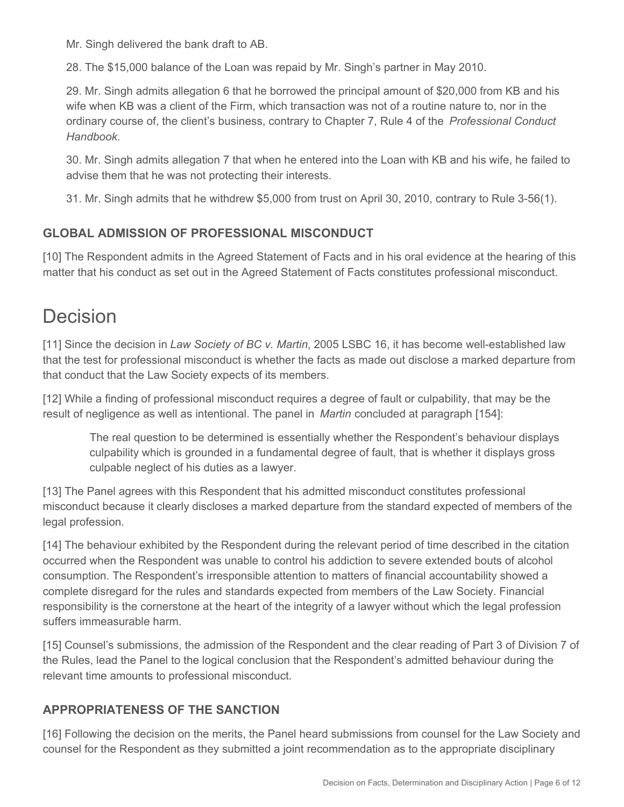Mr. Singh delivered the bank draft to AB.

28. The \$15,000 balance of the Loan was repaid by Mr. Singh's partner in May 2010.

29. Mr. Singh admits allegation 6 that he borrowed the principal amount of \$20,000 from KB and his wife when KB was a client of the Firm, which transaction was not of a routine nature to, nor in the ordinary course of, the client's business, contrary to Chapter 7, Rule 4 of the *Professional Conduct Handbook*.

30. Mr. Singh admits allegation 7 that when he entered into the Loan with KB and his wife, he failed to advise them that he was not protecting their interests.

31. Mr. Singh admits that he withdrew \$5,000 from trust on April 30, 2010, contrary to Rule 3-56(1).

#### **GLOBAL ADMISSION OF PROFESSIONAL MISCONDUCT**

[10] The Respondent admits in the Agreed Statement of Facts and in his oral evidence at the hearing of this matter that his conduct as set out in the Agreed Statement of Facts constitutes professional misconduct.

## Decision

[11] Since the decision in *Law Society of BC v. Martin*, 2005 LSBC 16, it has become well-established law that the test for professional misconduct is whether the facts as made out disclose a marked departure from that conduct that the Law Society expects of its members.

[12] While a finding of professional misconduct requires a degree of fault or culpability, that may be the result of negligence as well as intentional. The panel in *Martin* concluded at paragraph [154]:

The real question to be determined is essentially whether the Respondent's behaviour displays culpability which is grounded in a fundamental degree of fault, that is whether it displays gross culpable neglect of his duties as a lawyer.

[13] The Panel agrees with this Respondent that his admitted misconduct constitutes professional misconduct because it clearly discloses a marked departure from the standard expected of members of the legal profession.

[14] The behaviour exhibited by the Respondent during the relevant period of time described in the citation occurred when the Respondent was unable to control his addiction to severe extended bouts of alcohol consumption. The Respondent's irresponsible attention to matters of financial accountability showed a complete disregard for the rules and standards expected from members of the Law Society. Financial responsibility is the cornerstone at the heart of the integrity of a lawyer without which the legal profession suffers immeasurable harm.

[15] Counsel's submissions, the admission of the Respondent and the clear reading of Part 3 of Division 7 of the Rules, lead the Panel to the logical conclusion that the Respondent's admitted behaviour during the relevant time amounts to professional misconduct.

## **APPROPRIATENESS OF THE SANCTION**

[16] Following the decision on the merits, the Panel heard submissions from counsel for the Law Society and counsel for the Respondent as they submitted a joint recommendation as to the appropriate disciplinary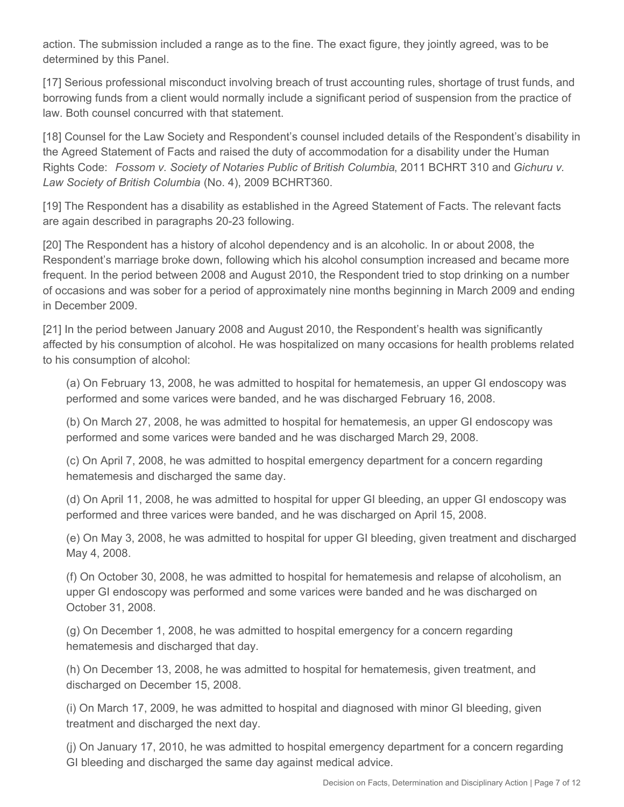action. The submission included a range as to the fine. The exact figure, they jointly agreed, was to be determined by this Panel.

[17] Serious professional misconduct involving breach of trust accounting rules, shortage of trust funds, and borrowing funds from a client would normally include a significant period of suspension from the practice of law. Both counsel concurred with that statement.

[18] Counsel for the Law Society and Respondent's counsel included details of the Respondent's disability in the Agreed Statement of Facts and raised the duty of accommodation for a disability under the Human Rights Code: *Fossom v. Society of Notaries Public of British Columbia*, 2011 BCHRT 310 and *Gichuru v. Law Society of British Columbia* (No. 4), 2009 BCHRT360.

[19] The Respondent has a disability as established in the Agreed Statement of Facts. The relevant facts are again described in paragraphs 20-23 following.

[20] The Respondent has a history of alcohol dependency and is an alcoholic. In or about 2008, the Respondent's marriage broke down, following which his alcohol consumption increased and became more frequent. In the period between 2008 and August 2010, the Respondent tried to stop drinking on a number of occasions and was sober for a period of approximately nine months beginning in March 2009 and ending in December 2009.

[21] In the period between January 2008 and August 2010, the Respondent's health was significantly affected by his consumption of alcohol. He was hospitalized on many occasions for health problems related to his consumption of alcohol:

(a) On February 13, 2008, he was admitted to hospital for hematemesis, an upper GI endoscopy was performed and some varices were banded, and he was discharged February 16, 2008.

(b) On March 27, 2008, he was admitted to hospital for hematemesis, an upper GI endoscopy was performed and some varices were banded and he was discharged March 29, 2008.

(c) On April 7, 2008, he was admitted to hospital emergency department for a concern regarding hematemesis and discharged the same day.

(d) On April 11, 2008, he was admitted to hospital for upper GI bleeding, an upper GI endoscopy was performed and three varices were banded, and he was discharged on April 15, 2008.

(e) On May 3, 2008, he was admitted to hospital for upper GI bleeding, given treatment and discharged May 4, 2008.

(f) On October 30, 2008, he was admitted to hospital for hematemesis and relapse of alcoholism, an upper GI endoscopy was performed and some varices were banded and he was discharged on October 31, 2008.

(g) On December 1, 2008, he was admitted to hospital emergency for a concern regarding hematemesis and discharged that day.

(h) On December 13, 2008, he was admitted to hospital for hematemesis, given treatment, and discharged on December 15, 2008.

(i) On March 17, 2009, he was admitted to hospital and diagnosed with minor GI bleeding, given treatment and discharged the next day.

(j) On January 17, 2010, he was admitted to hospital emergency department for a concern regarding GI bleeding and discharged the same day against medical advice.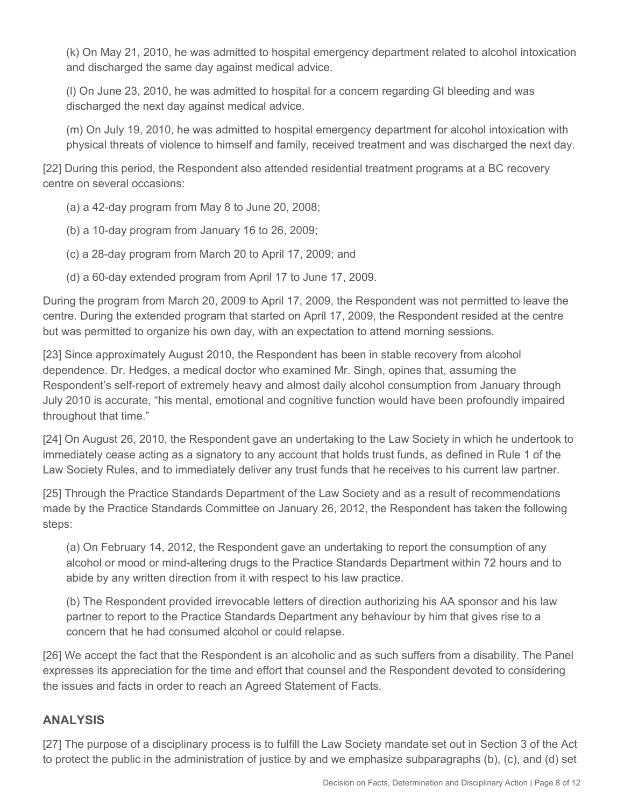(k) On May 21, 2010, he was admitted to hospital emergency department related to alcohol intoxication and discharged the same day against medical advice.

(l) On June 23, 2010, he was admitted to hospital for a concern regarding GI bleeding and was discharged the next day against medical advice.

(m) On July 19, 2010, he was admitted to hospital emergency department for alcohol intoxication with physical threats of violence to himself and family, received treatment and was discharged the next day.

[22] During this period, the Respondent also attended residential treatment programs at a BC recovery centre on several occasions:

(a) a 42-day program from May 8 to June 20, 2008;

- (b) a 10-day program from January 16 to 26, 2009;
- (c) a 28-day program from March 20 to April 17, 2009; and
- (d) a 60-day extended program from April 17 to June 17, 2009.

During the program from March 20, 2009 to April 17, 2009, the Respondent was not permitted to leave the centre. During the extended program that started on April 17, 2009, the Respondent resided at the centre but was permitted to organize his own day, with an expectation to attend morning sessions.

[23] Since approximately August 2010, the Respondent has been in stable recovery from alcohol dependence. Dr. Hedges, a medical doctor who examined Mr. Singh, opines that, assuming the Respondent's self-report of extremely heavy and almost daily alcohol consumption from January through July 2010 is accurate, "his mental, emotional and cognitive function would have been profoundly impaired throughout that time."

[24] On August 26, 2010, the Respondent gave an undertaking to the Law Society in which he undertook to immediately cease acting as a signatory to any account that holds trust funds, as defined in Rule 1 of the Law Society Rules, and to immediately deliver any trust funds that he receives to his current law partner.

[25] Through the Practice Standards Department of the Law Society and as a result of recommendations made by the Practice Standards Committee on January 26, 2012, the Respondent has taken the following steps:

(a) On February 14, 2012, the Respondent gave an undertaking to report the consumption of any alcohol or mood or mind-altering drugs to the Practice Standards Department within 72 hours and to abide by any written direction from it with respect to his law practice.

(b) The Respondent provided irrevocable letters of direction authorizing his AA sponsor and his law partner to report to the Practice Standards Department any behaviour by him that gives rise to a concern that he had consumed alcohol or could relapse.

[26] We accept the fact that the Respondent is an alcoholic and as such suffers from a disability. The Panel expresses its appreciation for the time and effort that counsel and the Respondent devoted to considering the issues and facts in order to reach an Agreed Statement of Facts.

#### **ANALYSIS**

[27] The purpose of a disciplinary process is to fulfill the Law Society mandate set out in Section 3 of the Act to protect the public in the administration of justice by and we emphasize subparagraphs (b), (c), and (d) set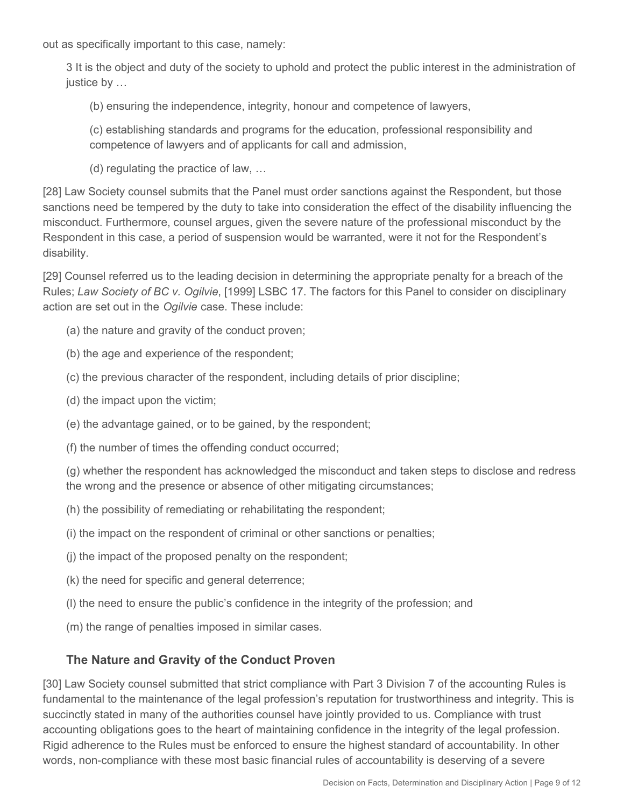out as specifically important to this case, namely:

3 It is the object and duty of the society to uphold and protect the public interest in the administration of justice by …

(b) ensuring the independence, integrity, honour and competence of lawyers,

(c) establishing standards and programs for the education, professional responsibility and competence of lawyers and of applicants for call and admission,

(d) regulating the practice of law, …

[28] Law Society counsel submits that the Panel must order sanctions against the Respondent, but those sanctions need be tempered by the duty to take into consideration the effect of the disability influencing the misconduct. Furthermore, counsel argues, given the severe nature of the professional misconduct by the Respondent in this case, a period of suspension would be warranted, were it not for the Respondent's disability.

[29] Counsel referred us to the leading decision in determining the appropriate penalty for a breach of the Rules; *Law Society of BC v. Ogilvie*, [1999] LSBC 17. The factors for this Panel to consider on disciplinary action are set out in the *Ogilvie* case. These include:

(a) the nature and gravity of the conduct proven;

(b) the age and experience of the respondent;

(c) the previous character of the respondent, including details of prior discipline;

- (d) the impact upon the victim;
- (e) the advantage gained, or to be gained, by the respondent;

(f) the number of times the offending conduct occurred;

(g) whether the respondent has acknowledged the misconduct and taken steps to disclose and redress the wrong and the presence or absence of other mitigating circumstances;

(h) the possibility of remediating or rehabilitating the respondent;

(i) the impact on the respondent of criminal or other sanctions or penalties;

(j) the impact of the proposed penalty on the respondent;

(k) the need for specific and general deterrence;

(l) the need to ensure the public's confidence in the integrity of the profession; and

(m) the range of penalties imposed in similar cases.

## **The Nature and Gravity of the Conduct Proven**

[30] Law Society counsel submitted that strict compliance with Part 3 Division 7 of the accounting Rules is fundamental to the maintenance of the legal profession's reputation for trustworthiness and integrity. This is succinctly stated in many of the authorities counsel have jointly provided to us. Compliance with trust accounting obligations goes to the heart of maintaining confidence in the integrity of the legal profession. Rigid adherence to the Rules must be enforced to ensure the highest standard of accountability. In other words, non-compliance with these most basic financial rules of accountability is deserving of a severe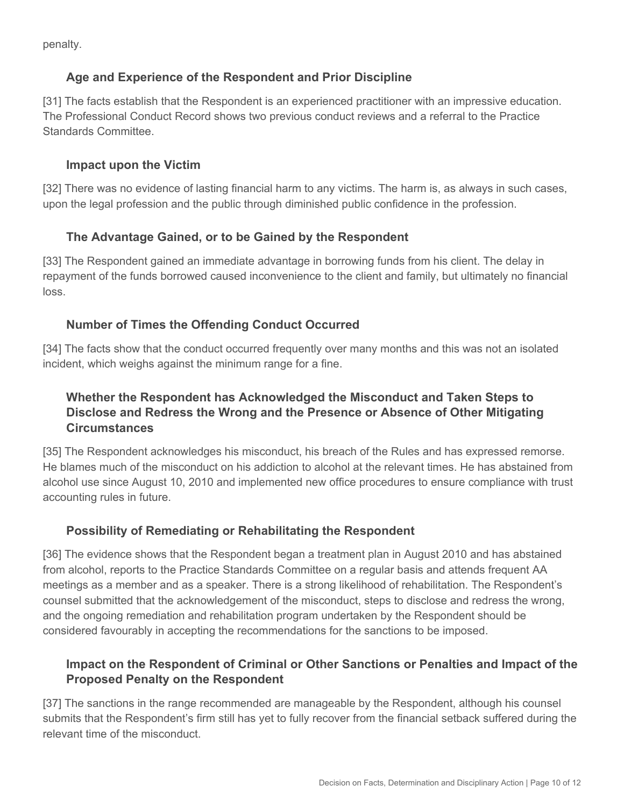penalty.

## **Age and Experience of the Respondent and Prior Discipline**

[31] The facts establish that the Respondent is an experienced practitioner with an impressive education. The Professional Conduct Record shows two previous conduct reviews and a referral to the Practice Standards Committee.

#### **Impact upon the Victim**

[32] There was no evidence of lasting financial harm to any victims. The harm is, as always in such cases, upon the legal profession and the public through diminished public confidence in the profession.

#### **The Advantage Gained, or to be Gained by the Respondent**

[33] The Respondent gained an immediate advantage in borrowing funds from his client. The delay in repayment of the funds borrowed caused inconvenience to the client and family, but ultimately no financial loss.

#### **Number of Times the Offending Conduct Occurred**

[34] The facts show that the conduct occurred frequently over many months and this was not an isolated incident, which weighs against the minimum range for a fine.

## **Whether the Respondent has Acknowledged the Misconduct and Taken Steps to Disclose and Redress the Wrong and the Presence or Absence of Other Mitigating Circumstances**

[35] The Respondent acknowledges his misconduct, his breach of the Rules and has expressed remorse. He blames much of the misconduct on his addiction to alcohol at the relevant times. He has abstained from alcohol use since August 10, 2010 and implemented new office procedures to ensure compliance with trust accounting rules in future.

#### **Possibility of Remediating or Rehabilitating the Respondent**

[36] The evidence shows that the Respondent began a treatment plan in August 2010 and has abstained from alcohol, reports to the Practice Standards Committee on a regular basis and attends frequent AA meetings as a member and as a speaker. There is a strong likelihood of rehabilitation. The Respondent's counsel submitted that the acknowledgement of the misconduct, steps to disclose and redress the wrong, and the ongoing remediation and rehabilitation program undertaken by the Respondent should be considered favourably in accepting the recommendations for the sanctions to be imposed.

## **Impact on the Respondent of Criminal or Other Sanctions or Penalties and Impact of the Proposed Penalty on the Respondent**

[37] The sanctions in the range recommended are manageable by the Respondent, although his counsel submits that the Respondent's firm still has yet to fully recover from the financial setback suffered during the relevant time of the misconduct.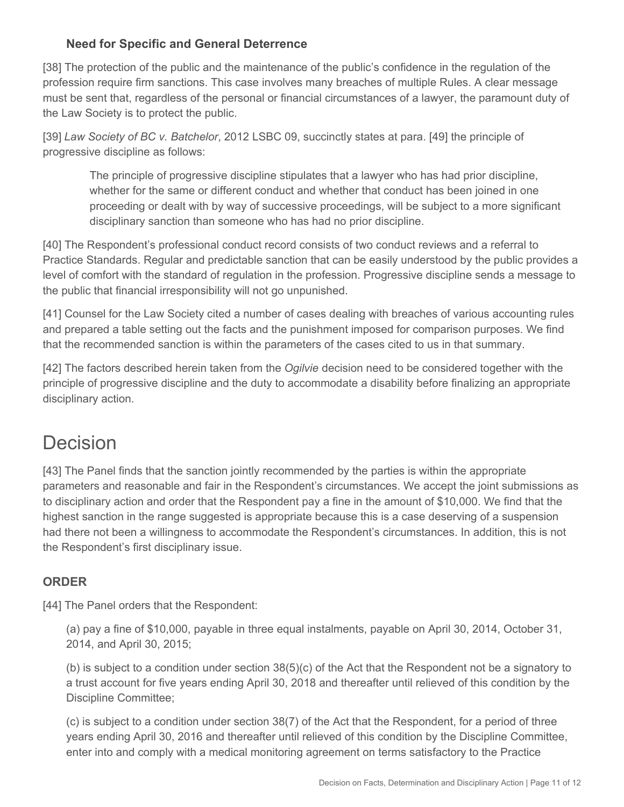#### **Need for Specific and General Deterrence**

[38] The protection of the public and the maintenance of the public's confidence in the regulation of the profession require firm sanctions. This case involves many breaches of multiple Rules. A clear message must be sent that, regardless of the personal or financial circumstances of a lawyer, the paramount duty of the Law Society is to protect the public.

[39] *Law Society of BC v. Batchelor*, 2012 LSBC 09, succinctly states at para. [49] the principle of progressive discipline as follows:

The principle of progressive discipline stipulates that a lawyer who has had prior discipline, whether for the same or different conduct and whether that conduct has been joined in one proceeding or dealt with by way of successive proceedings, will be subject to a more significant disciplinary sanction than someone who has had no prior discipline.

[40] The Respondent's professional conduct record consists of two conduct reviews and a referral to Practice Standards. Regular and predictable sanction that can be easily understood by the public provides a level of comfort with the standard of regulation in the profession. Progressive discipline sends a message to the public that financial irresponsibility will not go unpunished.

[41] Counsel for the Law Society cited a number of cases dealing with breaches of various accounting rules and prepared a table setting out the facts and the punishment imposed for comparison purposes. We find that the recommended sanction is within the parameters of the cases cited to us in that summary.

[42] The factors described herein taken from the *Ogilvie* decision need to be considered together with the principle of progressive discipline and the duty to accommodate a disability before finalizing an appropriate disciplinary action.

# Decision

[43] The Panel finds that the sanction jointly recommended by the parties is within the appropriate parameters and reasonable and fair in the Respondent's circumstances. We accept the joint submissions as to disciplinary action and order that the Respondent pay a fine in the amount of \$10,000. We find that the highest sanction in the range suggested is appropriate because this is a case deserving of a suspension had there not been a willingness to accommodate the Respondent's circumstances. In addition, this is not the Respondent's first disciplinary issue.

## **ORDER**

[44] The Panel orders that the Respondent:

(a) pay a fine of \$10,000, payable in three equal instalments, payable on April 30, 2014, October 31, 2014, and April 30, 2015;

(b) is subject to a condition under section 38(5)(c) of the Act that the Respondent not be a signatory to a trust account for five years ending April 30, 2018 and thereafter until relieved of this condition by the Discipline Committee;

(c) is subject to a condition under section 38(7) of the Act that the Respondent, for a period of three years ending April 30, 2016 and thereafter until relieved of this condition by the Discipline Committee, enter into and comply with a medical monitoring agreement on terms satisfactory to the Practice